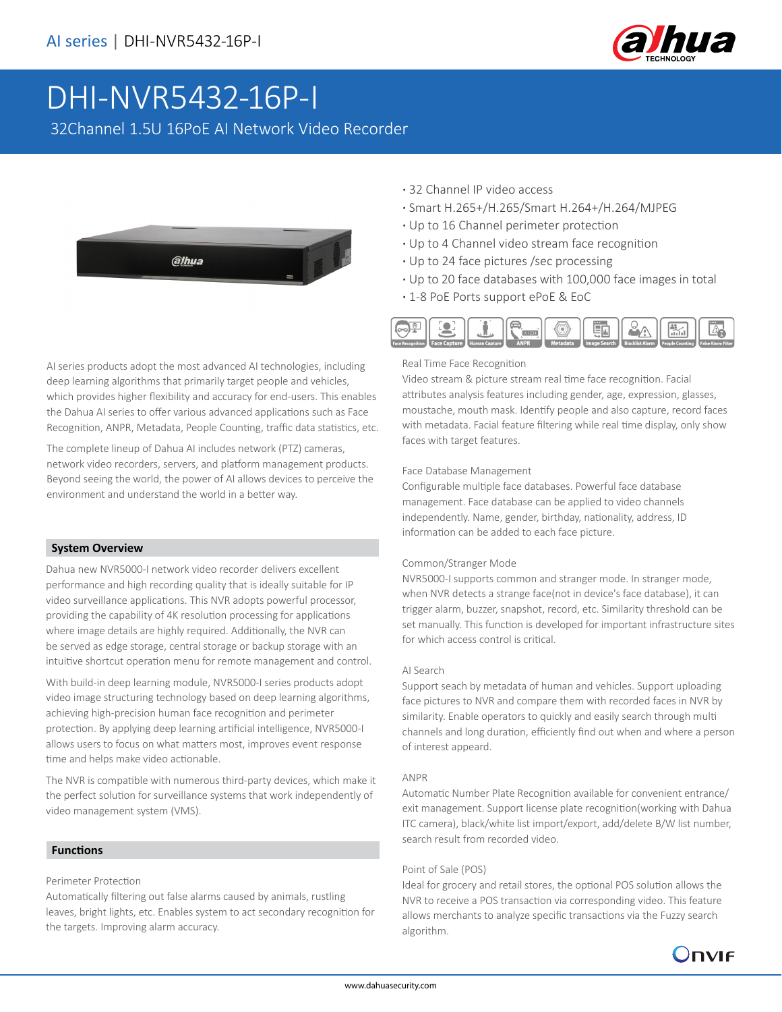

# DHI-NVR5432-16P-I

32Channel 1.5U 16PoE AI Network Video Recorder



AI series products adopt the most advanced AI technologies, including deep learning algorithms that primarily target people and vehicles, which provides higher flexibility and accuracy for end-users. This enables the Dahua AI series to offer various advanced applications such as Face Recognition, ANPR, Metadata, People Counting, traffic data statistics, etc.

The complete lineup of Dahua AI includes network (PTZ) cameras, network video recorders, servers, and platform management products. Beyond seeing the world, the power of AI allows devices to perceive the environment and understand the world in a better way.

#### **System Overview**

Dahua new NVR5000-I network video recorder delivers excellent performance and high recording quality that is ideally suitable for IP video surveillance applications. This NVR adopts powerful processor, providing the capability of 4K resolution processing for applications where image details are highly required. Additionally, the NVR can be served as edge storage, central storage or backup storage with an intuitive shortcut operation menu for remote management and control.

With build-in deep learning module, NVR5000-I series products adopt video image structuring technology based on deep learning algorithms, achieving high-precision human face recognition and perimeter protection. By applying deep learning artificial intelligence, NVR5000-I allows users to focus on what matters most, improves event response time and helps make video actionable.

The NVR is compatible with numerous third-party devices, which make it the perfect solution for surveillance systems that work independently of video management system (VMS).

#### **Functions**

#### Perimeter Protection

Automatically filtering out false alarms caused by animals, rustling leaves, bright lights, etc. Enables system to act secondary recognition for the targets. Improving alarm accuracy.

- **·** 32 Channel IP video access
- **·** Smart H.265+/H.265/Smart H.264+/H.264/MJPEG
- **·** Up to 16 Channel perimeter protection
- **·** Up to 4 Channel video stream face recognition
- **·** Up to 24 face pictures /sec processing
- **·** Up to 20 face databases with 100,000 face images in total
- **·** 1-8 PoE Ports support ePoE & EoC



#### Real Time Face Recognition

Video stream & picture stream real time face recognition. Facial attributes analysis features including gender, age, expression, glasses, moustache, mouth mask. Identify people and also capture, record faces with metadata. Facial feature filtering while real time display, only show faces with target features.

#### Face Database Management

Configurable multiple face databases. Powerful face database management. Face database can be applied to video channels independently. Name, gender, birthday, nationality, address, ID information can be added to each face picture.

#### Common/Stranger Mode

NVR5000-I supports common and stranger mode. In stranger mode, when NVR detects a strange face(not in device's face database), it can trigger alarm, buzzer, snapshot, record, etc. Similarity threshold can be set manually. This function is developed for important infrastructure sites for which access control is critical.

#### AI Search

Support seach by metadata of human and vehicles. Support uploading face pictures to NVR and compare them with recorded faces in NVR by similarity. Enable operators to quickly and easily search through multi channels and long duration, efficiently find out when and where a person of interest appeard.

#### ANPR

Automatic Number Plate Recognition available for convenient entrance/ exit management. Support license plate recognition(working with Dahua ITC camera), black/white list import/export, add/delete B/W list number, search result from recorded video.

#### Point of Sale (POS)

Ideal for grocery and retail stores, the optional POS solution allows the NVR to receive a POS transaction via corresponding video. This feature allows merchants to analyze specific transactions via the Fuzzy search algorithm.

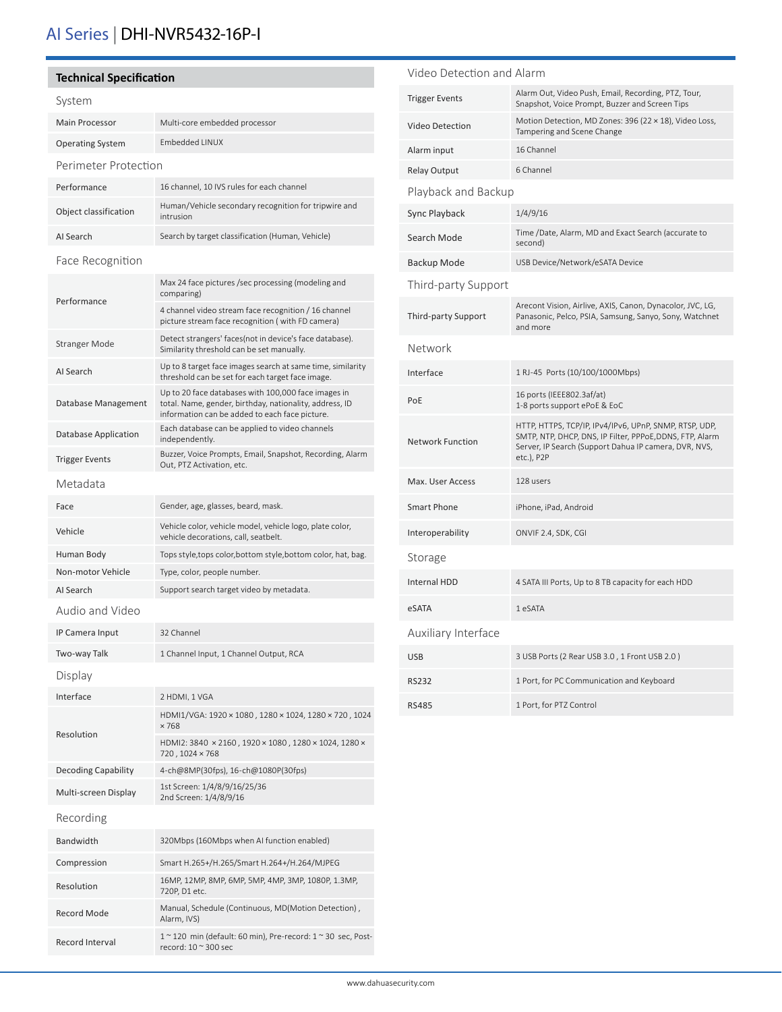# AI Series | DHI-NVR5432-16P-I

| <b>Technical Specification</b> |                                                                                                                                                                  | Video Detection and Alarm |                                                                                                                                                                             |
|--------------------------------|------------------------------------------------------------------------------------------------------------------------------------------------------------------|---------------------------|-----------------------------------------------------------------------------------------------------------------------------------------------------------------------------|
| System                         |                                                                                                                                                                  | <b>Trigger Events</b>     | Alarm Out, Video Push, Email, Recording, PTZ, Tour,<br>Snapshot, Voice Prompt, Buzzer and Screen Tips                                                                       |
| Main Processor                 | Multi-core embedded processor                                                                                                                                    | Video Detection           | Motion Detection, MD Zones: 396 (22 × 18), Video Loss,<br>Tampering and Scene Change                                                                                        |
| <b>Operating System</b>        | Embedded LINUX                                                                                                                                                   | Alarm input               | 16 Channel                                                                                                                                                                  |
| Perimeter Protection           |                                                                                                                                                                  | Relay Output              | 6 Channel                                                                                                                                                                   |
| Performance                    | 16 channel, 10 IVS rules for each channel                                                                                                                        | Playback and Backup       |                                                                                                                                                                             |
| Object classification          | Human/Vehicle secondary recognition for tripwire and<br>intrusion                                                                                                | Sync Playback             | 1/4/9/16                                                                                                                                                                    |
| AI Search                      | Search by target classification (Human, Vehicle)                                                                                                                 | Search Mode               | Time /Date, Alarm, MD and Exact Search (accurate to<br>second)                                                                                                              |
| Face Recognition               |                                                                                                                                                                  | Backup Mode               | USB Device/Network/eSATA Device                                                                                                                                             |
| Performance                    | Max 24 face pictures /sec processing (modeling and<br>comparing)                                                                                                 | Third-party Support       |                                                                                                                                                                             |
|                                | 4 channel video stream face recognition / 16 channel<br>picture stream face recognition (with FD camera)                                                         | Third-party Support       | Arecont Vision, Airlive, AXIS, Canon, Dynacolor, JVC, LG,<br>Panasonic, Pelco, PSIA, Samsung, Sanyo, Sony, Watchnet<br>and more                                             |
| <b>Stranger Mode</b>           | Detect strangers' faces(not in device's face database).<br>Similarity threshold can be set manually.                                                             | <b>Network</b>            |                                                                                                                                                                             |
| AI Search                      | Up to 8 target face images search at same time, similarity<br>threshold can be set for each target face image.                                                   | Interface                 | 1 RJ-45 Ports (10/100/1000Mbps)                                                                                                                                             |
| Database Management            | Up to 20 face databases with 100,000 face images in<br>total. Name, gender, birthday, nationality, address, ID<br>information can be added to each face picture. | PoE                       | 16 ports (IEEE802.3af/at)<br>1-8 ports support ePoE & EoC                                                                                                                   |
| Database Application           | Each database can be applied to video channels<br>independently.                                                                                                 | <b>Network Function</b>   | HTTP, HTTPS, TCP/IP, IPv4/IPv6, UPnP, SNMP, RTSP, UDP,<br>SMTP, NTP, DHCP, DNS, IP Filter, PPPoE, DDNS, FTP, Alarm<br>Server, IP Search (Support Dahua IP camera, DVR, NVS, |
| <b>Trigger Events</b>          | Buzzer, Voice Prompts, Email, Snapshot, Recording, Alarm<br>Out, PTZ Activation, etc.                                                                            |                           | etc.), P2P                                                                                                                                                                  |
| Metadata                       |                                                                                                                                                                  | Max. User Access          | 128 users                                                                                                                                                                   |
| Face                           | Gender, age, glasses, beard, mask.                                                                                                                               | <b>Smart Phone</b>        | iPhone, iPad, Android                                                                                                                                                       |
| Vehicle                        | Vehicle color, vehicle model, vehicle logo, plate color,<br>vehicle decorations, call, seatbelt.                                                                 | Interoperability          | ONVIF 2.4, SDK, CGI                                                                                                                                                         |
| Human Body                     | Tops style, tops color, bottom style, bottom color, hat, bag.                                                                                                    | Storage                   |                                                                                                                                                                             |
| Non-motor Vehicle              | Type, color, people number.                                                                                                                                      | <b>Internal HDD</b>       | 4 SATA III Ports, Up to 8 TB capacity for each HDD                                                                                                                          |
| AI Search                      | Support search target video by metadata.                                                                                                                         |                           |                                                                                                                                                                             |
| Audio and Video                |                                                                                                                                                                  | eSATA                     | 1 eSATA                                                                                                                                                                     |
| IP Camera Input                | 32 Channel                                                                                                                                                       | Auxiliary Interface       |                                                                                                                                                                             |
| Two-way Talk                   | 1 Channel Input, 1 Channel Output, RCA                                                                                                                           | <b>USB</b>                | 3 USB Ports (2 Rear USB 3.0, 1 Front USB 2.0)                                                                                                                               |
| Display                        |                                                                                                                                                                  | <b>RS232</b>              | 1 Port, for PC Communication and Keyboard                                                                                                                                   |
| Interface                      | 2 HDMI, 1 VGA                                                                                                                                                    | <b>RS485</b>              | 1 Port, for PTZ Control                                                                                                                                                     |
| Resolution                     | HDMI1/VGA: 1920 × 1080, 1280 × 1024, 1280 × 720, 1024<br>$\times 768$                                                                                            |                           |                                                                                                                                                                             |
|                                | HDMI2: 3840 × 2160, 1920 × 1080, 1280 × 1024, 1280 ×<br>720, 1024 × 768                                                                                          |                           |                                                                                                                                                                             |
| Decoding Capability            | 4-ch@8MP(30fps), 16-ch@1080P(30fps)                                                                                                                              |                           |                                                                                                                                                                             |
| Multi-screen Display           | 1st Screen: 1/4/8/9/16/25/36<br>2nd Screen: 1/4/8/9/16                                                                                                           |                           |                                                                                                                                                                             |
| Recording                      |                                                                                                                                                                  |                           |                                                                                                                                                                             |
| Bandwidth                      | 320Mbps (160Mbps when AI function enabled)                                                                                                                       |                           |                                                                                                                                                                             |
| Compression                    | Smart H.265+/H.265/Smart H.264+/H.264/MJPEG                                                                                                                      |                           |                                                                                                                                                                             |
| Resolution                     | 16MP, 12MP, 8MP, 6MP, 5MP, 4MP, 3MP, 1080P, 1.3MP,<br>720P, D1 etc.                                                                                              |                           |                                                                                                                                                                             |
| Record Mode                    | Manual, Schedule (Continuous, MD(Motion Detection),<br>Alarm, IVS)                                                                                               |                           |                                                                                                                                                                             |
| Record Interval                | $1$ ~ 120 min (default: 60 min), Pre-record: $1$ ~ 30 sec, Post-<br>record: 10 ~ 300 sec                                                                         |                           |                                                                                                                                                                             |